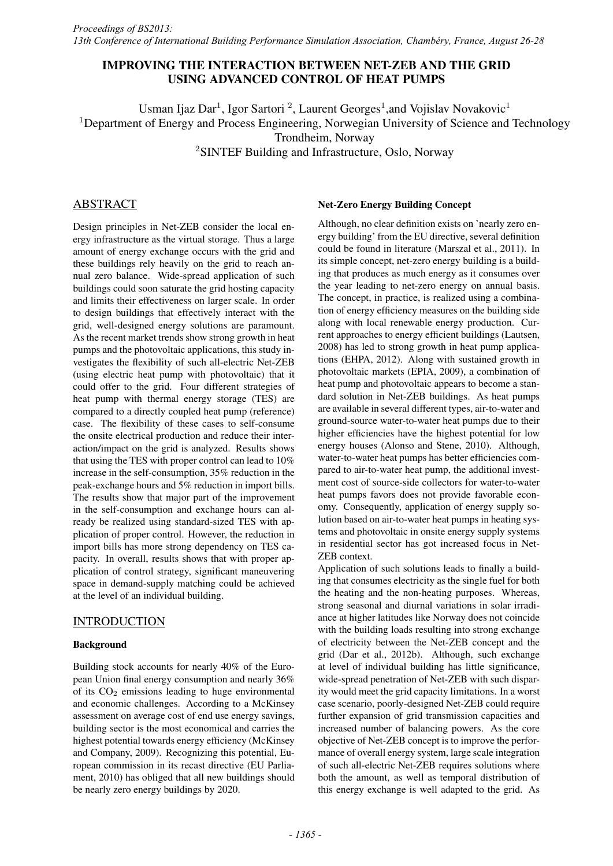# IMPROVING THE INTERACTION BETWEEN NET-ZEB AND THE GRID USING ADVANCED CONTROL OF HEAT PUMPS

Usman Ijaz Dar<sup>1</sup>, Igor Sartori<sup>2</sup>, Laurent Georges<sup>1</sup>, and Vojislav Novakovic<sup>1</sup> <sup>1</sup>Department of Energy and Process Engineering, Norwegian University of Science and Technology Trondheim, Norway <sup>2</sup>SINTEF Building and Infrastructure, Oslo, Norway

# ABSTRACT

Design principles in Net-ZEB consider the local energy infrastructure as the virtual storage. Thus a large amount of energy exchange occurs with the grid and these buildings rely heavily on the grid to reach annual zero balance. Wide-spread application of such buildings could soon saturate the grid hosting capacity and limits their effectiveness on larger scale. In order to design buildings that effectively interact with the grid, well-designed energy solutions are paramount. As the recent market trends show strong growth in heat pumps and the photovoltaic applications, this study investigates the flexibility of such all-electric Net-ZEB (using electric heat pump with photovoltaic) that it could offer to the grid. Four different strategies of heat pump with thermal energy storage (TES) are compared to a directly coupled heat pump (reference) case. The flexibility of these cases to self-consume the onsite electrical production and reduce their interaction/impact on the grid is analyzed. Results shows that using the TES with proper control can lead to 10% increase in the self-consumption, 35% reduction in the peak-exchange hours and 5% reduction in import bills. The results show that major part of the improvement in the self-consumption and exchange hours can already be realized using standard-sized TES with application of proper control. However, the reduction in import bills has more strong dependency on TES capacity. In overall, results shows that with proper application of control strategy, significant maneuvering space in demand-supply matching could be achieved at the level of an individual building.

# INTRODUCTION

# Background

Building stock accounts for nearly 40% of the European Union final energy consumption and nearly 36% of its  $CO<sub>2</sub>$  emissions leading to huge environmental and economic challenges. According to a McKinsey assessment on average cost of end use energy savings, building sector is the most economical and carries the highest potential towards energy efficiency (McKinsey and Company, 2009). Recognizing this potential, European commission in its recast directive (EU Parliament, 2010) has obliged that all new buildings should be nearly zero energy buildings by 2020.

### Net-Zero Energy Building Concept

Although, no clear definition exists on 'nearly zero energy building' from the EU directive, several definition could be found in literature (Marszal et al., 2011). In its simple concept, net-zero energy building is a building that produces as much energy as it consumes over the year leading to net-zero energy on annual basis. The concept, in practice, is realized using a combination of energy efficiency measures on the building side along with local renewable energy production. Current approaches to energy efficient buildings (Lautsen, 2008) has led to strong growth in heat pump applications (EHPA, 2012). Along with sustained growth in photovoltaic markets (EPIA, 2009), a combination of heat pump and photovoltaic appears to become a standard solution in Net-ZEB buildings. As heat pumps are available in several different types, air-to-water and ground-source water-to-water heat pumps due to their higher efficiencies have the highest potential for low energy houses (Alonso and Stene, 2010). Although, water-to-water heat pumps has better efficiencies compared to air-to-water heat pump, the additional investment cost of source-side collectors for water-to-water heat pumps favors does not provide favorable economy. Consequently, application of energy supply solution based on air-to-water heat pumps in heating systems and photovoltaic in onsite energy supply systems in residential sector has got increased focus in Net-ZEB context.

Application of such solutions leads to finally a building that consumes electricity as the single fuel for both the heating and the non-heating purposes. Whereas, strong seasonal and diurnal variations in solar irradiance at higher latitudes like Norway does not coincide with the building loads resulting into strong exchange of electricity between the Net-ZEB concept and the grid (Dar et al., 2012b). Although, such exchange at level of individual building has little significance, wide-spread penetration of Net-ZEB with such disparity would meet the grid capacity limitations. In a worst case scenario, poorly-designed Net-ZEB could require further expansion of grid transmission capacities and increased number of balancing powers. As the core objective of Net-ZEB concept is to improve the performance of overall energy system, large scale integration of such all-electric Net-ZEB requires solutions where both the amount, as well as temporal distribution of this energy exchange is well adapted to the grid. As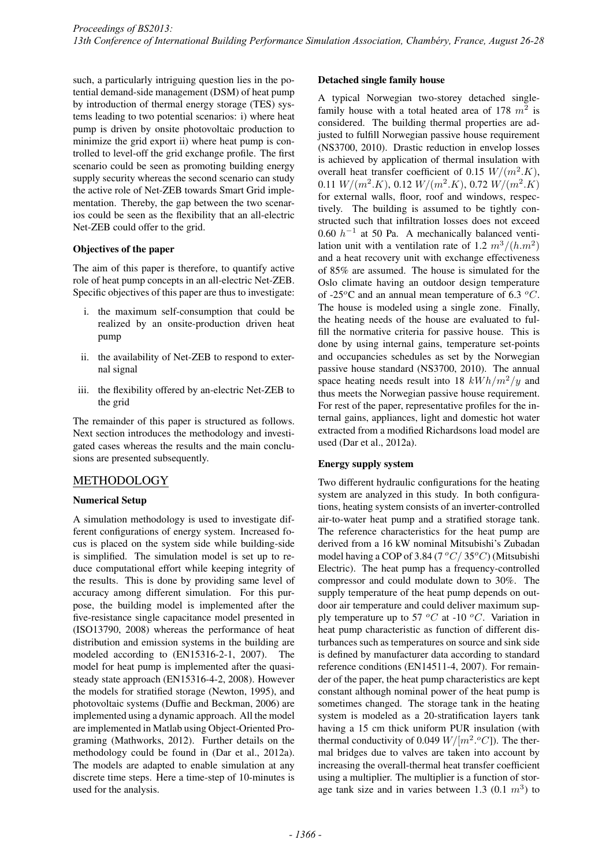such, a particularly intriguing question lies in the potential demand-side management (DSM) of heat pump by introduction of thermal energy storage (TES) systems leading to two potential scenarios: i) where heat pump is driven by onsite photovoltaic production to minimize the grid export ii) where heat pump is controlled to level-off the grid exchange profile. The first scenario could be seen as promoting building energy supply security whereas the second scenario can study the active role of Net-ZEB towards Smart Grid implementation. Thereby, the gap between the two scenarios could be seen as the flexibility that an all-electric Net-ZEB could offer to the grid.

### Objectives of the paper

The aim of this paper is therefore, to quantify active role of heat pump concepts in an all-electric Net-ZEB. Specific objectives of this paper are thus to investigate:

- i. the maximum self-consumption that could be realized by an onsite-production driven heat pump
- ii. the availability of Net-ZEB to respond to external signal
- iii. the flexibility offered by an-electric Net-ZEB to the grid

The remainder of this paper is structured as follows. Next section introduces the methodology and investigated cases whereas the results and the main conclusions are presented subsequently.

# METHODOLOGY

# Numerical Setup

A simulation methodology is used to investigate different configurations of energy system. Increased focus is placed on the system side while building-side is simplified. The simulation model is set up to reduce computational effort while keeping integrity of the results. This is done by providing same level of accuracy among different simulation. For this purpose, the building model is implemented after the five-resistance single capacitance model presented in (ISO13790, 2008) whereas the performance of heat distribution and emission systems in the building are modeled according to (EN15316-2-1, 2007). The model for heat pump is implemented after the quasisteady state approach (EN15316-4-2, 2008). However the models for stratified storage (Newton, 1995), and photovoltaic systems (Duffie and Beckman, 2006) are implemented using a dynamic approach. All the model are implemented in Matlab using Object-Oriented Programing (Mathworks, 2012). Further details on the methodology could be found in (Dar et al., 2012a). The models are adapted to enable simulation at any discrete time steps. Here a time-step of 10-minutes is used for the analysis.

#### Detached single family house

A typical Norwegian two-storey detached singlefamily house with a total heated area of 178 *m*<sup>2</sup> is considered. The building thermal properties are adjusted to fulfill Norwegian passive house requirement (NS3700, 2010). Drastic reduction in envelop losses is achieved by application of thermal insulation with overall heat transfer coefficient of 0.15  $W/(m^2.K)$ , 0.11  $W/(m^2.K)$ , 0.12  $W/(m^2.K)$ , 0.72  $W/(m^2.K)$ for external walls, floor, roof and windows, respectively. The building is assumed to be tightly constructed such that infiltration losses does not exceed  $0.60 h^{-1}$  at 50 Pa. A mechanically balanced ventilation unit with a ventilation rate of 1.2  $m^3/(h.m^2)$ and a heat recovery unit with exchange effectiveness of 85% are assumed. The house is simulated for the Oslo climate having an outdoor design temperature of -25*<sup>o</sup>*C and an annual mean temperature of 6.3 *<sup>o</sup>C*. The house is modeled using a single zone. Finally, the heating needs of the house are evaluated to fulfill the normative criteria for passive house. This is done by using internal gains, temperature set-points and occupancies schedules as set by the Norwegian passive house standard (NS3700, 2010). The annual space heating needs result into 18  $kWh/m^2/y$  and thus meets the Norwegian passive house requirement. For rest of the paper, representative profiles for the internal gains, appliances, light and domestic hot water extracted from a modified Richardsons load model are used (Dar et al., 2012a).

# Energy supply system

Two different hydraulic configurations for the heating system are analyzed in this study. In both configurations, heating system consists of an inverter-controlled air-to-water heat pump and a stratified storage tank. The reference characteristics for the heat pump are derived from a 16 kW nominal Mitsubishi's Zubadan model having a COP of 3.84 (7 *<sup>o</sup>C/* 35*<sup>o</sup>C*) (Mitsubishi Electric). The heat pump has a frequency-controlled compressor and could modulate down to 30%. The supply temperature of the heat pump depends on outdoor air temperature and could deliver maximum supply temperature up to 57  $\,^{\circ}C$  at -10  $^{\circ}C$ . Variation in heat pump characteristic as function of different disturbances such as temperatures on source and sink side is defined by manufacturer data according to standard reference conditions (EN14511-4, 2007). For remainder of the paper, the heat pump characteristics are kept constant although nominal power of the heat pump is sometimes changed. The storage tank in the heating system is modeled as a 20-stratification layers tank having a 15 cm thick uniform PUR insulation (with thermal conductivity of 0.049  $W/[m^2. \text{°}C]$ ). The thermal bridges due to valves are taken into account by increasing the overall-thermal heat transfer coefficient using a multiplier. The multiplier is a function of storage tank size and in varies between 1.3  $(0.1 \, m^3)$  to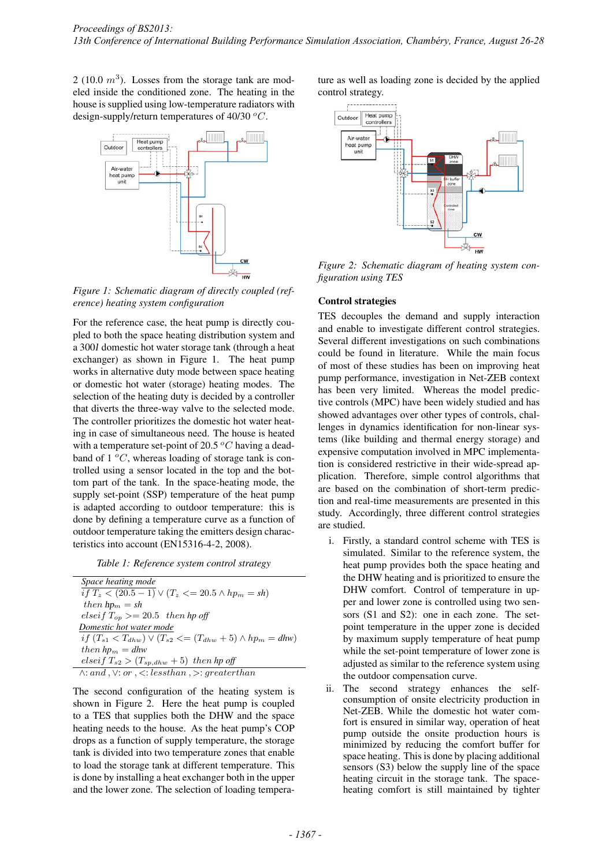2 (10.0  $m<sup>3</sup>$ ). Losses from the storage tank are modeled inside the conditioned zone. The heating in the house is supplied using low-temperature radiators with design-supply/return temperatures of 40/30 *<sup>o</sup>C*.



*Figure 1: Schematic diagram of directly coupled (reference) heating system configuration*

For the reference case, the heat pump is directly coupled to both the space heating distribution system and a 300*l* domestic hot water storage tank (through a heat exchanger) as shown in Figure 1. The heat pump works in alternative duty mode between space heating or domestic hot water (storage) heating modes. The selection of the heating duty is decided by a controller that diverts the three-way valve to the selected mode. The controller prioritizes the domestic hot water heating in case of simultaneous need. The house is heated with a temperature set-point of 20.5 *<sup>o</sup>C* having a deadband of 1 *<sup>o</sup>C*, whereas loading of storage tank is controlled using a sensor located in the top and the bottom part of the tank. In the space-heating mode, the supply set-point (SSP) temperature of the heat pump is adapted according to outdoor temperature: this is done by defining a temperature curve as a function of outdoor temperature taking the emitters design characteristics into account (EN15316-4-2, 2008).

*Table 1: Reference system control strategy*

| Space heating mode                                                                          |
|---------------------------------------------------------------------------------------------|
| $\frac{1}{if T_z}$ (20.5 – 1) $\vee$ (T <sub>z</sub> <= 20.5 $\wedge$ hp <sub>m</sub> = sh) |
| then $hp_m = sh$                                                                            |
| elseif $T_{on} \geq 20.5$ then hp off                                                       |
| Domestic hot water mode                                                                     |
| $if (T_{s1} < T_{dhw}) \vee (T_{s2} < = (T_{dhw} + 5) \wedge hp_m = dhw)$                   |
| then $hp_m = dhw$                                                                           |
| elseif $T_{s2} > (T_{sp,dhw} + 5)$ then hp off                                              |
| $\wedge$ : and $\vee$ : or $\vee$ : lessthan $\vee$ : greaterthan                           |
|                                                                                             |

The second configuration of the heating system is shown in Figure 2. Here the heat pump is coupled to a TES that supplies both the DHW and the space heating needs to the house. As the heat pump's COP drops as a function of supply temperature, the storage tank is divided into two temperature zones that enable to load the storage tank at different temperature. This is done by installing a heat exchanger both in the upper and the lower zone. The selection of loading tempera-

ture as well as loading zone is decided by the applied control strategy.



*Figure 2: Schematic diagram of heating system configuration using TES*

### Control strategies

TES decouples the demand and supply interaction and enable to investigate different control strategies. Several different investigations on such combinations could be found in literature. While the main focus of most of these studies has been on improving heat pump performance, investigation in Net-ZEB context has been very limited. Whereas the model predictive controls (MPC) have been widely studied and has showed advantages over other types of controls, challenges in dynamics identification for non-linear systems (like building and thermal energy storage) and expensive computation involved in MPC implementation is considered restrictive in their wide-spread application. Therefore, simple control algorithms that are based on the combination of short-term prediction and real-time measurements are presented in this study. Accordingly, three different control strategies are studied.

- i. Firstly, a standard control scheme with TES is simulated. Similar to the reference system, the heat pump provides both the space heating and the DHW heating and is prioritized to ensure the DHW comfort. Control of temperature in upper and lower zone is controlled using two sensors (S1 and S2): one in each zone. The setpoint temperature in the upper zone is decided by maximum supply temperature of heat pump while the set-point temperature of lower zone is adjusted as similar to the reference system using the outdoor compensation curve.
- ii. The second strategy enhances the selfconsumption of onsite electricity production in Net-ZEB. While the domestic hot water comfort is ensured in similar way, operation of heat pump outside the onsite production hours is minimized by reducing the comfort buffer for space heating. This is done by placing additional sensors (S3) below the supply line of the space heating circuit in the storage tank. The spaceheating comfort is still maintained by tighter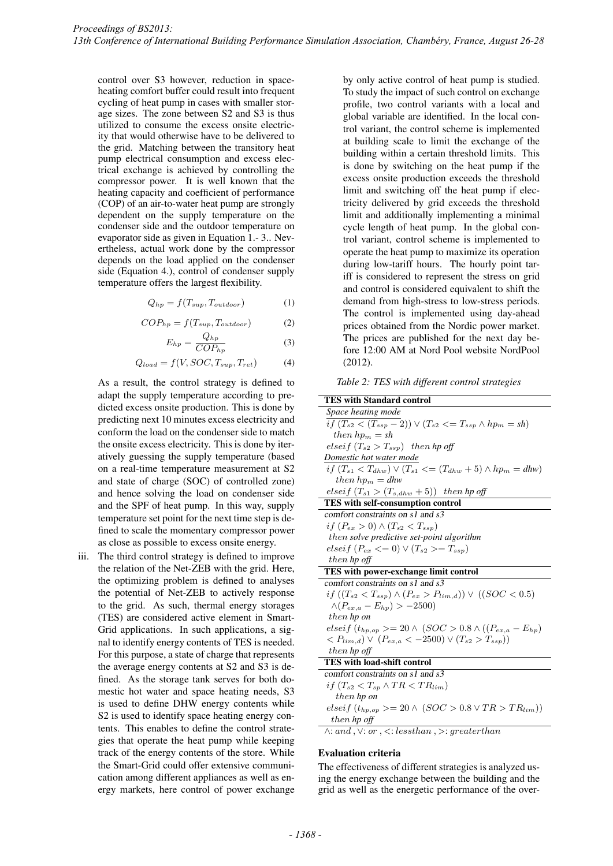control over S3 however, reduction in spaceheating comfort buffer could result into frequent cycling of heat pump in cases with smaller storage sizes. The zone between S2 and S3 is thus utilized to consume the excess onsite electricity that would otherwise have to be delivered to the grid. Matching between the transitory heat pump electrical consumption and excess electrical exchange is achieved by controlling the compressor power. It is well known that the heating capacity and coefficient of performance (COP) of an air-to-water heat pump are strongly dependent on the supply temperature on the condenser side and the outdoor temperature on evaporator side as given in Equation 1.- 3.. Nevertheless, actual work done by the compressor depends on the load applied on the condenser side (Equation 4.), control of condenser supply temperature offers the largest flexibility.

$$
Q_{hp} = f(T_{sup}, T_{outdoor})
$$
 (1)

$$
COP_{hp} = f(T_{sup}, T_{outdoor})
$$
 (2)

$$
E_{hp} = \frac{Q_{hp}}{COP_{hp}}\tag{3}
$$

$$
Q_{load} = f(V, SOC, T_{sup}, T_{ret})
$$
 (4)

As a result, the control strategy is defined to adapt the supply temperature according to predicted excess onsite production. This is done by predicting next 10 minutes excess electricity and conform the load on the condenser side to match the onsite excess electricity. This is done by iteratively guessing the supply temperature (based on a real-time temperature measurement at S2 and state of charge (SOC) of controlled zone) and hence solving the load on condenser side and the SPF of heat pump. In this way, supply temperature set point for the next time step is defined to scale the momentary compressor power as close as possible to excess onsite energy.

iii. The third control strategy is defined to improve the relation of the Net-ZEB with the grid. Here, the optimizing problem is defined to analyses the potential of Net-ZEB to actively response to the grid. As such, thermal energy storages (TES) are considered active element in Smart-Grid applications. In such applications, a signal to identify energy contents of TES is needed. For this purpose, a state of charge that represents the average energy contents at S2 and S3 is defined. As the storage tank serves for both domestic hot water and space heating needs, S3 is used to define DHW energy contents while S2 is used to identify space heating energy contents. This enables to define the control strategies that operate the heat pump while keeping track of the energy contents of the store. While the Smart-Grid could offer extensive communication among different appliances as well as energy markets, here control of power exchange by only active control of heat pump is studied. To study the impact of such control on exchange profile, two control variants with a local and global variable are identified. In the local control variant, the control scheme is implemented at building scale to limit the exchange of the building within a certain threshold limits. This is done by switching on the heat pump if the excess onsite production exceeds the threshold limit and switching off the heat pump if electricity delivered by grid exceeds the threshold limit and additionally implementing a minimal cycle length of heat pump. In the global control variant, control scheme is implemented to operate the heat pump to maximize its operation during low-tariff hours. The hourly point tariff is considered to represent the stress on grid and control is considered equivalent to shift the demand from high-stress to low-stress periods. The control is implemented using day-ahead prices obtained from the Nordic power market. The prices are published for the next day before 12:00 AM at Nord Pool website NordPool (2012).

*Table 2: TES with different control strategies*

| <b>TES with Standard control</b>                                                                |  |  |  |  |
|-------------------------------------------------------------------------------------------------|--|--|--|--|
| Space heating mode                                                                              |  |  |  |  |
| if $(T_{s2} < (T_{ssp} - 2)) \vee (T_{s2} < = T_{ssp} \wedge hp_m = sh)$                        |  |  |  |  |
| then $hp_m = sh$                                                                                |  |  |  |  |
| elseif $(T_{s2} > T_{ssp})$ then hp off                                                         |  |  |  |  |
| Domestic hot water mode                                                                         |  |  |  |  |
| $if (T_{s1} < T_{dhw}) \vee (T_{s1} < = (T_{dhw} + 5) \wedge hp_m = dhw)$                       |  |  |  |  |
| then $hp_m = dhw$                                                                               |  |  |  |  |
| elseif $(T_{s1} > (T_{s,dhw} + 5))$ then hp off                                                 |  |  |  |  |
| TES with self-consumption control                                                               |  |  |  |  |
| comfort constraints on s1 and s3                                                                |  |  |  |  |
| if $(P_{ex} > 0) \wedge (T_{s2} < T_{ssp})$                                                     |  |  |  |  |
| then solve predictive set-point algorithm                                                       |  |  |  |  |
| <i>elseif</i> $(P_{ex} \leq 0) \vee (T_{s2} \geq T_{ssp})$                                      |  |  |  |  |
| then hp off                                                                                     |  |  |  |  |
| TES with power-exchange limit control                                                           |  |  |  |  |
| comfort constraints on s1 and s3                                                                |  |  |  |  |
| if $((T_{s2} < T_{ssp}) \land (P_{ex} > P_{lim,d})) \lor ((SOC < 0.5)$                          |  |  |  |  |
| $\wedge (P_{ex. a} - E_{hn}) > -2500$                                                           |  |  |  |  |
| then hp on                                                                                      |  |  |  |  |
| elseif $(t_{hp,op}) = 20 \wedge (SOC > 0.8 \wedge ((P_{ex,a} - E_{hp}))$                        |  |  |  |  |
| $\langle P_{lim,d} \rangle \vee (P_{ex,a} \langle -2500 \rangle \vee (T_{s2} \rangle T_{ssp}))$ |  |  |  |  |
| then hp off                                                                                     |  |  |  |  |
| TES with load-shift control                                                                     |  |  |  |  |
| comfort constraints on s1 and s3                                                                |  |  |  |  |
| if $(T_{s2} < T_{sp} \wedge TR < TR_{lim})$                                                     |  |  |  |  |
| then hp on                                                                                      |  |  |  |  |
| $\text{elseif } (t_{hp,op}) = 20 \land (SOC > 0.8 \lor TR > TR_{lim}))$                         |  |  |  |  |
| then hp off                                                                                     |  |  |  |  |
| $\wedge$ : and, $\vee$ : or, $\lt$ : lessthan, $\gt$ : greaterthan                              |  |  |  |  |
|                                                                                                 |  |  |  |  |

#### Evaluation criteria

The effectiveness of different strategies is analyzed using the energy exchange between the building and the grid as well as the energetic performance of the over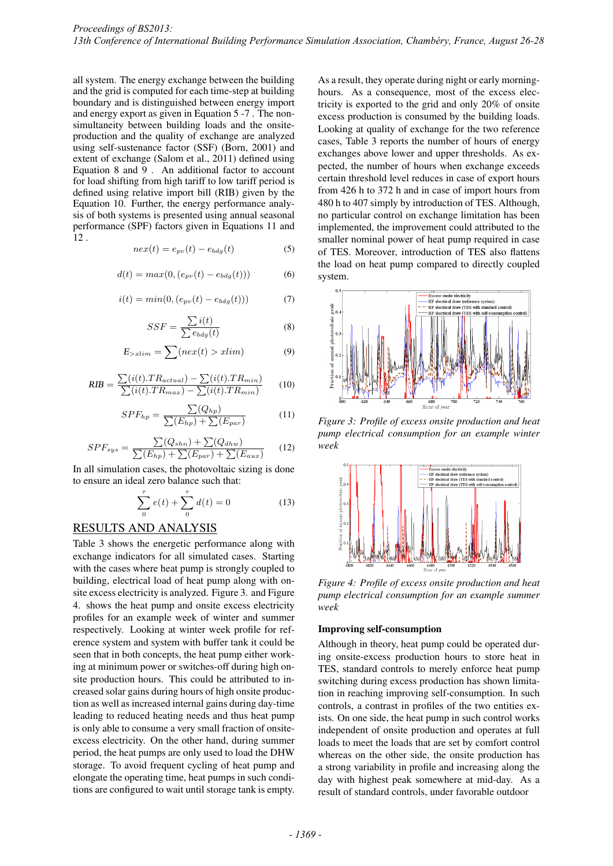all system. The energy exchange between the building and the grid is computed for each time-step at building boundary and is distinguished between energy import and energy export as given in Equation 5 -7 . The nonsimultaneity between building loads and the onsiteproduction and the quality of exchange are analyzed using self-sustenance factor (SSF) (Born, 2001) and extent of exchange (Salom et al., 2011) defined using Equation 8 and 9 . An additional factor to account for load shifting from high tariff to low tariff period is defined using relative import bill (RIB) given by the Equation 10. Further, the energy performance analysis of both systems is presented using annual seasonal performance (SPF) factors given in Equations 11 and  $\overline{12}$  .

$$
nex(t) = e_{pv}(t) - e_{bdg}(t)
$$
\n(5)

$$
d(t) = max(0, (e_{pv}(t) - e_{bdg}(t)))
$$
 (6)

$$
i(t) = min(0, (e_{pv}(t) - e_{bdg}(t)))
$$
 (7)

$$
SSF = \frac{\sum i(t)}{\sum e_{bdg}(t)}\tag{8}
$$

$$
E_{>xlim} = \sum (nex(t) > xlim)
$$
 (9)

$$
RIB = \frac{\sum(i(t).TR_{actual}) - \sum(i(t).TR_{min})}{\sum(i(t).TR_{max}) - \sum(i(t).TR_{min})}
$$
(10)

$$
SPF_{hp} = \frac{\sum (Q_{hp})}{\sum (E_{hp}) + \sum (E_{par})}
$$
(11)

$$
SPF_{sys} = \frac{\sum (Q_{shn}) + \sum (Q_{dhw})}{\sum (E_{hp}) + \sum (E_{par}) + \sum (E_{aux})}
$$
(12)

In all simulation cases, the photovoltaic sizing is done to ensure an ideal zero balance such that:

$$
\sum_{0}^{\tau} e(t) + \sum_{0}^{\tau} d(t) = 0
$$
 (13)

# RESULTS AND ANALYSIS

Table 3 shows the energetic performance along with exchange indicators for all simulated cases. Starting with the cases where heat pump is strongly coupled to building, electrical load of heat pump along with onsite excess electricity is analyzed. Figure 3. and Figure 4. shows the heat pump and onsite excess electricity profiles for an example week of winter and summer respectively. Looking at winter week profile for reference system and system with buffer tank it could be seen that in both concepts, the heat pump either working at minimum power or switches-off during high onsite production hours. This could be attributed to increased solar gains during hours of high onsite production as well as increased internal gains during day-time leading to reduced heating needs and thus heat pump is only able to consume a very small fraction of onsiteexcess electricity. On the other hand, during summer period, the heat pumps are only used to load the DHW storage. To avoid frequent cycling of heat pump and elongate the operating time, heat pumps in such conditions are configured to wait until storage tank is empty.

As a result, they operate during night or early morninghours. As a consequence, most of the excess electricity is exported to the grid and only 20% of onsite excess production is consumed by the building loads. Looking at quality of exchange for the two reference cases, Table 3 reports the number of hours of energy exchanges above lower and upper thresholds. As expected, the number of hours when exchange exceeds certain threshold level reduces in case of export hours from 426 h to 372 h and in case of import hours from 480 h to 407 simply by introduction of TES. Although, no particular control on exchange limitation has been implemented, the improvement could attributed to the smaller nominal power of heat pump required in case of TES. Moreover, introduction of TES also flattens the load on heat pump compared to directly coupled system.



*Figure 3: Profile of excess onsite production and heat pump electrical consumption for an example winter week*



*Figure 4: Profile of excess onsite production and heat pump electrical consumption for an example summer week*

#### Improving self-consumption

Although in theory, heat pump could be operated during onsite-excess production hours to store heat in TES, standard controls to merely enforce heat pump switching during excess production has shown limitation in reaching improving self-consumption. In such controls, a contrast in profiles of the two entities exists. On one side, the heat pump in such control works independent of onsite production and operates at full loads to meet the loads that are set by comfort control whereas on the other side, the onsite production has a strong variability in profile and increasing along the day with highest peak somewhere at mid-day. As a result of standard controls, under favorable outdoor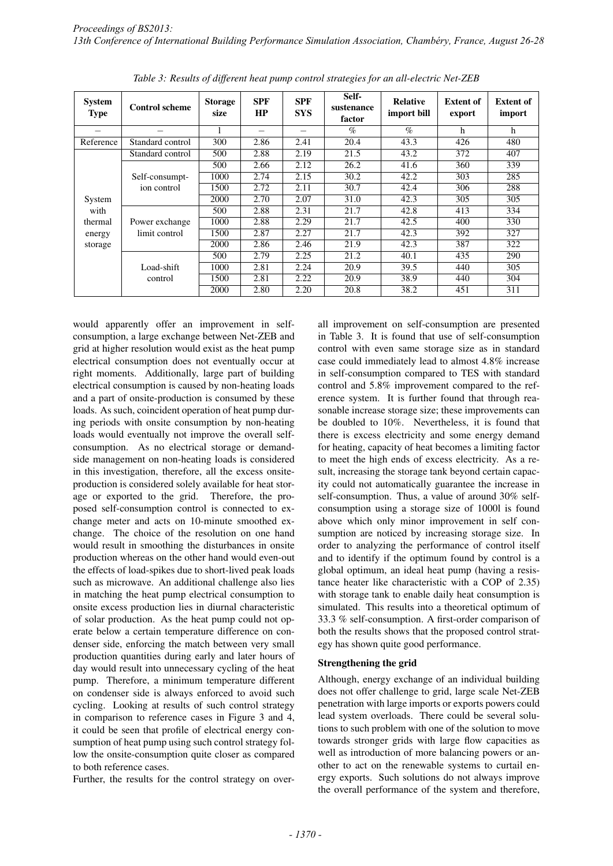| <b>System</b><br><b>Type</b> | <b>Control scheme</b> | <b>Storage</b><br>size | <b>SPF</b><br>HP | <b>SPF</b><br><b>SYS</b> | Self-<br>sustenance<br>factor | <b>Relative</b><br>import bill | <b>Extent of</b><br>export | <b>Extent of</b><br>import |
|------------------------------|-----------------------|------------------------|------------------|--------------------------|-------------------------------|--------------------------------|----------------------------|----------------------------|
|                              |                       |                        | -                |                          | $\%$                          | $\%$                           | h                          | h                          |
| Reference                    | Standard control      | 300                    | 2.86             | 2.41                     | 20.4                          | 43.3                           | 426                        | 480                        |
|                              | Standard control      | 500                    | 2.88             | 2.19                     | 21.5                          | 43.2                           | 372                        | 407                        |
|                              |                       | 500                    | 2.66             | 2.12                     | 26.2                          | 41.6                           | 360                        | 339                        |
|                              | Self-consumpt-        | 1000                   | 2.74             | 2.15                     | 30.2                          | 42.2                           | 303                        | 285                        |
|                              | ion control           | 1500                   | 2.72             | 2.11                     | 30.7                          | 42.4                           | 306                        | 288                        |
| System                       |                       | 2000                   | 2.70             | 2.07                     | 31.0                          | 42.3                           | 305                        | 305                        |
| with                         |                       | 500                    | 2.88             | 2.31                     | 21.7                          | 42.8                           | 413                        | 334                        |
| thermal                      | Power exchange        | 1000                   | 2.88             | 2.29                     | 21.7                          | 42.5                           | 400                        | 330                        |
| energy                       | limit control         | 1500                   | 2.87             | 2.27                     | 21.7                          | 42.3                           | 392                        | 327                        |
| storage                      |                       | 2000                   | 2.86             | 2.46                     | 21.9                          | 42.3                           | 387                        | 322                        |
|                              |                       | 500                    | 2.79             | 2.25                     | 21.2                          | 40.1                           | 435                        | 290                        |
|                              | Load-shift            | 1000                   | 2.81             | 2.24                     | 20.9                          | 39.5                           | 440                        | 305                        |
|                              | control               | 1500                   | 2.81             | 2.22                     | 20.9                          | 38.9                           | 440                        | 304                        |
|                              |                       | 2000                   | 2.80             | 2.20                     | 20.8                          | 38.2                           | 451                        | 311                        |

*Table 3: Results of different heat pump control strategies for an all-electric Net-ZEB*

would apparently offer an improvement in selfconsumption, a large exchange between Net-ZEB and grid at higher resolution would exist as the heat pump electrical consumption does not eventually occur at right moments. Additionally, large part of building electrical consumption is caused by non-heating loads and a part of onsite-production is consumed by these loads. As such, coincident operation of heat pump during periods with onsite consumption by non-heating loads would eventually not improve the overall selfconsumption. As no electrical storage or demandside management on non-heating loads is considered in this investigation, therefore, all the excess onsiteproduction is considered solely available for heat storage or exported to the grid. Therefore, the proposed self-consumption control is connected to exchange meter and acts on 10-minute smoothed exchange. The choice of the resolution on one hand would result in smoothing the disturbances in onsite production whereas on the other hand would even-out the effects of load-spikes due to short-lived peak loads such as microwave. An additional challenge also lies in matching the heat pump electrical consumption to onsite excess production lies in diurnal characteristic of solar production. As the heat pump could not operate below a certain temperature difference on condenser side, enforcing the match between very small production quantities during early and later hours of day would result into unnecessary cycling of the heat pump. Therefore, a minimum temperature different on condenser side is always enforced to avoid such cycling. Looking at results of such control strategy in comparison to reference cases in Figure 3 and 4, it could be seen that profile of electrical energy consumption of heat pump using such control strategy follow the onsite-consumption quite closer as compared to both reference cases.

Further, the results for the control strategy on over-

all improvement on self-consumption are presented in Table 3. It is found that use of self-consumption control with even same storage size as in standard case could immediately lead to almost 4.8% increase in self-consumption compared to TES with standard control and 5.8% improvement compared to the reference system. It is further found that through reasonable increase storage size; these improvements can be doubled to 10%. Nevertheless, it is found that there is excess electricity and some energy demand for heating, capacity of heat becomes a limiting factor to meet the high ends of excess electricity. As a result, increasing the storage tank beyond certain capacity could not automatically guarantee the increase in self-consumption. Thus, a value of around 30% selfconsumption using a storage size of 1000l is found above which only minor improvement in self consumption are noticed by increasing storage size. In order to analyzing the performance of control itself and to identify if the optimum found by control is a global optimum, an ideal heat pump (having a resistance heater like characteristic with a COP of 2.35) with storage tank to enable daily heat consumption is simulated. This results into a theoretical optimum of 33.3 % self-consumption. A first-order comparison of both the results shows that the proposed control strategy has shown quite good performance.

#### Strengthening the grid

Although, energy exchange of an individual building does not offer challenge to grid, large scale Net-ZEB penetration with large imports or exports powers could lead system overloads. There could be several solutions to such problem with one of the solution to move towards stronger grids with large flow capacities as well as introduction of more balancing powers or another to act on the renewable systems to curtail energy exports. Such solutions do not always improve the overall performance of the system and therefore,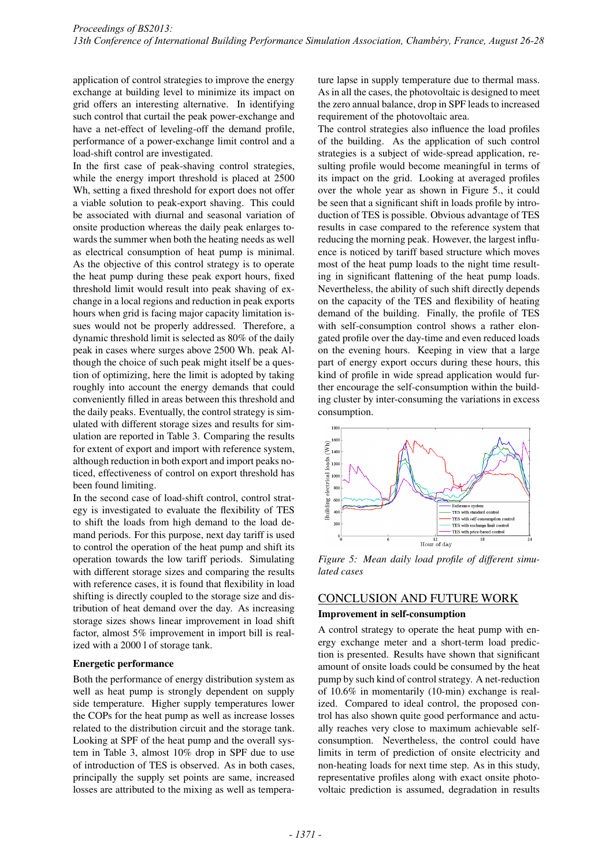application of control strategies to improve the energy exchange at building level to minimize its impact on grid offers an interesting alternative. In identifying such control that curtail the peak power-exchange and have a net-effect of leveling-off the demand profile, performance of a power-exchange limit control and a load-shift control are investigated.

In the first case of peak-shaving control strategies, while the energy import threshold is placed at 2500 Wh, setting a fixed threshold for export does not offer a viable solution to peak-export shaving. This could be associated with diurnal and seasonal variation of onsite production whereas the daily peak enlarges towards the summer when both the heating needs as well as electrical consumption of heat pump is minimal. As the objective of this control strategy is to operate the heat pump during these peak export hours, fixed threshold limit would result into peak shaving of exchange in a local regions and reduction in peak exports hours when grid is facing major capacity limitation issues would not be properly addressed. Therefore, a dynamic threshold limit is selected as 80% of the daily peak in cases where surges above 2500 Wh. peak Although the choice of such peak might itself be a question of optimizing, here the limit is adopted by taking roughly into account the energy demands that could conveniently filled in areas between this threshold and the daily peaks. Eventually, the control strategy is simulated with different storage sizes and results for simulation are reported in Table 3. Comparing the results for extent of export and import with reference system, although reduction in both export and import peaks noticed, effectiveness of control on export threshold has been found limiting.

In the second case of load-shift control, control strategy is investigated to evaluate the flexibility of TES to shift the loads from high demand to the load demand periods. For this purpose, next day tariff is used to control the operation of the heat pump and shift its operation towards the low tariff periods. Simulating with different storage sizes and comparing the results with reference cases, it is found that flexibility in load shifting is directly coupled to the storage size and distribution of heat demand over the day. As increasing storage sizes shows linear improvement in load shift factor, almost 5% improvement in import bill is realized with a 2000 l of storage tank.

#### Energetic performance

Both the performance of energy distribution system as well as heat pump is strongly dependent on supply side temperature. Higher supply temperatures lower the COPs for the heat pump as well as increase losses related to the distribution circuit and the storage tank. Looking at SPF of the heat pump and the overall system in Table 3, almost 10% drop in SPF due to use of introduction of TES is observed. As in both cases, principally the supply set points are same, increased losses are attributed to the mixing as well as tempera-

ture lapse in supply temperature due to thermal mass. As in all the cases, the photovoltaic is designed to meet the zero annual balance, drop in SPF leads to increased requirement of the photovoltaic area.

The control strategies also influence the load profiles of the building. As the application of such control strategies is a subject of wide-spread application, resulting profile would become meaningful in terms of its impact on the grid. Looking at averaged profiles over the whole year as shown in Figure 5., it could be seen that a significant shift in loads profile by introduction of TES is possible. Obvious advantage of TES results in case compared to the reference system that reducing the morning peak. However, the largest influence is noticed by tariff based structure which moves most of the heat pump loads to the night time resulting in significant flattening of the heat pump loads. Nevertheless, the ability of such shift directly depends on the capacity of the TES and flexibility of heating demand of the building. Finally, the profile of TES with self-consumption control shows a rather elongated profile over the day-time and even reduced loads on the evening hours. Keeping in view that a large part of energy export occurs during these hours, this kind of profile in wide spread application would further encourage the self-consumption within the building cluster by inter-consuming the variations in excess consumption.



*Figure 5: Mean daily load profile of different simulated cases*

# CONCLUSION AND FUTURE WORK

#### Improvement in self-consumption

A control strategy to operate the heat pump with energy exchange meter and a short-term load prediction is presented. Results have shown that significant amount of onsite loads could be consumed by the heat pump by such kind of control strategy. A net-reduction of 10.6% in momentarily (10-min) exchange is realized. Compared to ideal control, the proposed control has also shown quite good performance and actually reaches very close to maximum achievable selfconsumption. Nevertheless, the control could have limits in term of prediction of onsite electricity and non-heating loads for next time step. As in this study, representative profiles along with exact onsite photovoltaic prediction is assumed, degradation in results